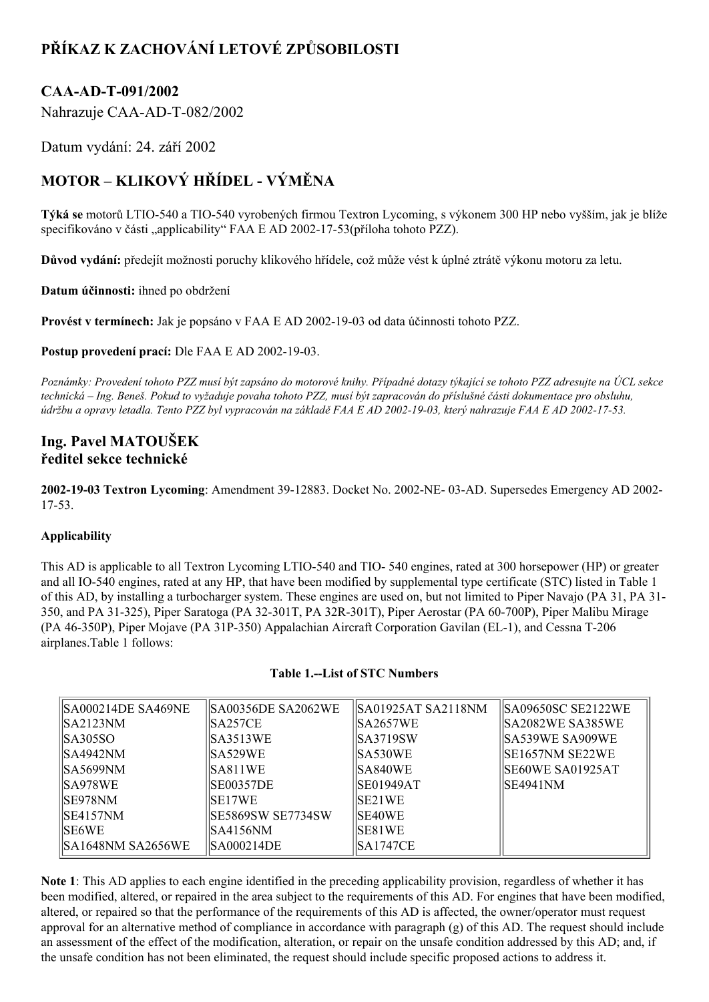# **PŘÍKAZ K ZACHOVÁNÍ LETOVÉ ZPŮSOBILOSTI**

# CAA-AD-T-091/2002

Nahrazuje CAA-AD-T-082/2002

Datum vydání: 24. září 2002

# **MOTOR – KLIKOVÝ HŘÍDEL VÝMĚNA**

**Týká se** motorů LTIO540 a TIO540 vyrobených firmou Textron Lycoming, s výkonem 300 HP nebo vyšším, jak je blíže specifikováno v části "applicability" FAA E AD 2002-17-53(příloha tohoto PZZ).

**Důvod vydání:** předejít možnosti poruchy klikového hřídele, což může vést k úplné ztrátě výkonu motoru za letu.

**Datum účinnosti:** ihned po obdržení

**Provést v termínech:** Jak je popsáno v FAA E AD 20021903 od data účinnosti tohoto PZZ.

**Postup provedení prací:** Dle FAA E AD 2002-19-03.

Poznámky: Provedení tohoto PZZ musí být zapsáno do motorové knihy. Případné dotazy týkající se tohoto PZZ adresujte na ÚCL sekce technická – Ing. Beneš. Pokud to vyžaduje povaha tohoto PZZ, musí být zapracován do příslušné části dokumentace pro obsluhu, údržbu a opravy letadla. Tento PZZ byl vypracován na základě FAA E AD 2002-19-03, který nahrazuje FAA E AD 2002-17-53.

# **Ing. Pavel MATOUŠEK ředitel sekce technické**

**2002-19-03 Textron Lycoming**: Amendment 39-12883. Docket No. 2002-NE-03-AD. Supersedes Emergency AD 2002-17-53.

# **Applicability**

This AD is applicable to all Textron Lycoming LTIO-540 and TIO-540 engines, rated at 300 horsepower (HP) or greater and all IO540 engines, rated at any HP, that have been modified by supplemental type certificate (STC) listed in Table 1 of this AD, by installing a turbocharger system. These engines are used on, but not limited to Piper Navajo (PA 31, PA 31 350, and PA 31-325), Piper Saratoga (PA 32-301T, PA 32R-301T), Piper Aerostar (PA 60-700P), Piper Malibu Mirage (PA 46-350P), Piper Mojave (PA 31P-350) Appalachian Aircraft Corporation Gavilan (EL-1), and Cessna T-206 airplanes.Table 1 follows:

| ISA000214DE SA469NE | SA00356DE SA2062WE       | SA01925AT SA2118NM | SA09650SC SE2122WE |
|---------------------|--------------------------|--------------------|--------------------|
| IISA2123NM          | SA257CE                  | ISA2657WE          | SA2082WE SA385WE   |
| IISA305SO.          | ISA3513WE                | ISA3719SW          | SA539WE SA909WE    |
| $ $ SA4942NM        | ISA529WE                 | ISA530WE           | ISE1657NM SE22WE   |
| IISA5699NM          | SA811WE                  | ISA840WE           | ISE60WE SA01925AT  |
| IISA978WE           | <b>ISE00357DE</b>        | ISE01949AT         | ISE4941NM          |
| SE978NM             | <b>ISE17WE</b>           | ISE21WE            |                    |
| ISE4157NM           | <b>SE5869SW SE7734SW</b> | <b>ISE40WE</b>     |                    |
| <b>ISE6WE</b>       | ISA4156NM                | <b>ISE81WE</b>     |                    |
| ISA1648NM SA2656WE  | ISA000214DE              | <b>SA1747CE</b>    |                    |

#### **Table 1.List of STC Numbers**

**Note 1**: This AD applies to each engine identified in the preceding applicability provision, regardless of whether it has been modified, altered, or repaired in the area subject to the requirements of this AD. For engines that have been modified, altered, or repaired so that the performance of the requirements of this AD is affected, the owner/operator must request approval for an alternative method of compliance in accordance with paragraph (g) of this AD. The request should include an assessment of the effect of the modification, alteration, or repair on the unsafe condition addressed by this AD; and, if the unsafe condition has not been eliminated, the request should include specific proposed actions to address it.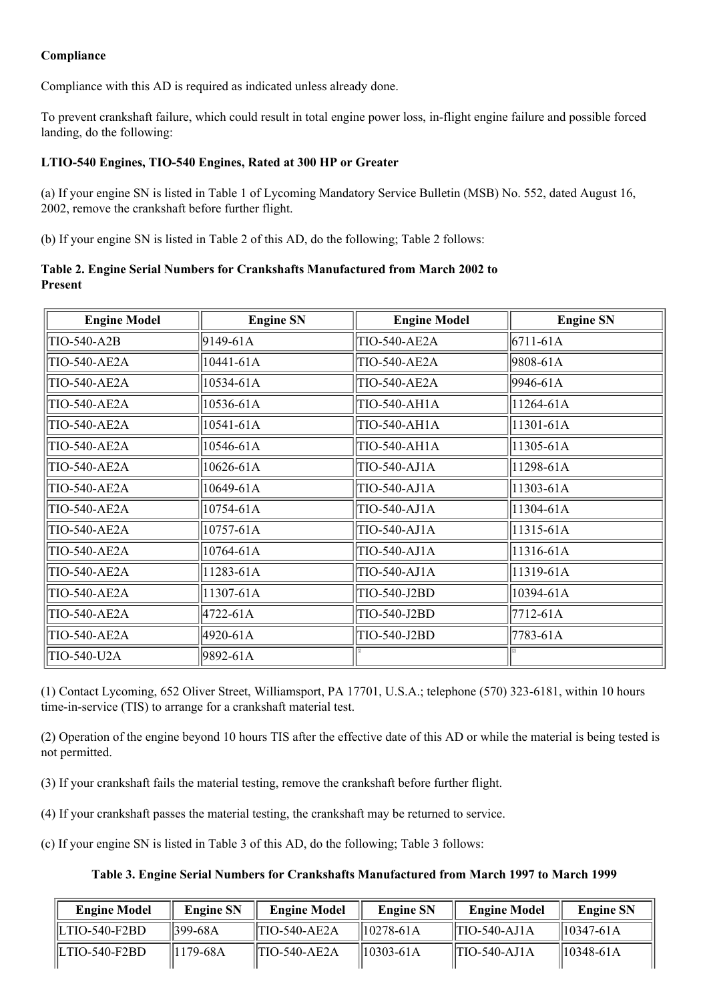# **Compliance**

Compliance with this AD is required as indicated unless already done.

To prevent crankshaft failure, which could result in total engine power loss, in-flight engine failure and possible forced landing, do the following:

# **LTIO540 Engines, TIO540 Engines, Rated at 300 HP or Greater**

(a) If your engine SN is listed in Table 1 of Lycoming Mandatory Service Bulletin (MSB) No. 552, dated August 16, 2002, remove the crankshaft before further flight.

(b) If your engine SN is listed in Table 2 of this AD, do the following; Table 2 follows:

#### **Table 2. Engine Serial Numbers for Crankshafts Manufactured from March 2002 to Present**

| <b>Engine Model</b> | <b>Engine SN</b> | <b>Engine Model</b> | <b>Engine SN</b> |
|---------------------|------------------|---------------------|------------------|
| TIO-540-A2B         | $9149 - 61A$     | TIO-540-AE2A        | $6711 - 61A$     |
| TIO-540-AE2A        | 10441-61A        | TIO-540-AE2A        | 9808-61A         |
| TIO-540-AE2A        | 10534-61A        | <b>TIO-540-AE2A</b> | 9946-61A         |
| TIO-540-AE2A        | 10536-61A        | TIO-540-AH1A        | 11264-61A        |
| TIO-540-AE2A        | 10541-61A        | TIO-540-AH1A        | 11301-61A        |
| TIO-540-AE2A        | 10546-61A        | TIO-540-AH1A        | 11305-61A        |
| TIO-540-AE2A        | 10626-61A        | TIO-540-AJ1A        | 11298-61A        |
| TIO-540-AE2A        | 10649-61A        | TIO-540-AJ1A        | 11303-61A        |
| TIO-540-AE2A        | 10754-61A        | TIO-540-AJ1A        | 11304-61A        |
| TIO-540-AE2A        | 10757-61A        | TIO-540-AJ1A        | 11315-61A        |
| TIO-540-AE2A        | 10764-61A        | TIO-540-AJ1A        | 11316-61A        |
| <b>TIO-540-AE2A</b> | 11283-61A        | TIO-540-AJ1A        | 11319-61A        |
| TIO-540-AE2A        | 11307-61A        | TIO-540-J2BD        | 10394-61A        |
| <b>TIO-540-AE2A</b> | $4722 - 61A$     | TIO-540-J2BD        | 7712-61A         |
| <b>TIO-540-AE2A</b> | 4920-61A         | TIO-540-J2BD        | 7783-61A         |
| TIO-540-U2A         | 9892-61A         |                     |                  |

(1) Contact Lycoming, 652 Oliver Street, Williamsport, PA 17701, U.S.A.; telephone (570) 323-6181, within 10 hours time-in-service (TIS) to arrange for a crankshaft material test.

(2) Operation of the engine beyond 10 hours TIS after the effective date of this AD or while the material is being tested is not permitted.

(3) If your crankshaft fails the material testing, remove the crankshaft before further flight.

(4) If your crankshaft passes the material testing, the crankshaft may be returned to service.

(c) If your engine SN is listed in Table 3 of this AD, do the following; Table 3 follows:

| <b>Engine Model</b>       | <b>Engine SN</b> | <b>Engine Model</b> | <b>Engine SN</b> | <b>Engine Model</b> | <b>Engine SN</b> |
|---------------------------|------------------|---------------------|------------------|---------------------|------------------|
| $\parallel$ LTIO-540-F2BD | 1399-68A         | $ITIO-540-AE2A$     | $  10278-61A$    | $ITIO-540-AJ1A$     | $  10347-61A$    |
| $\parallel$ LTIO-540-F2BD | 1179-68A         | $ITIO-540-AE2A$     | $  10303-61A$    | $ITIO-540-AJ1A$     | 10348-61A        |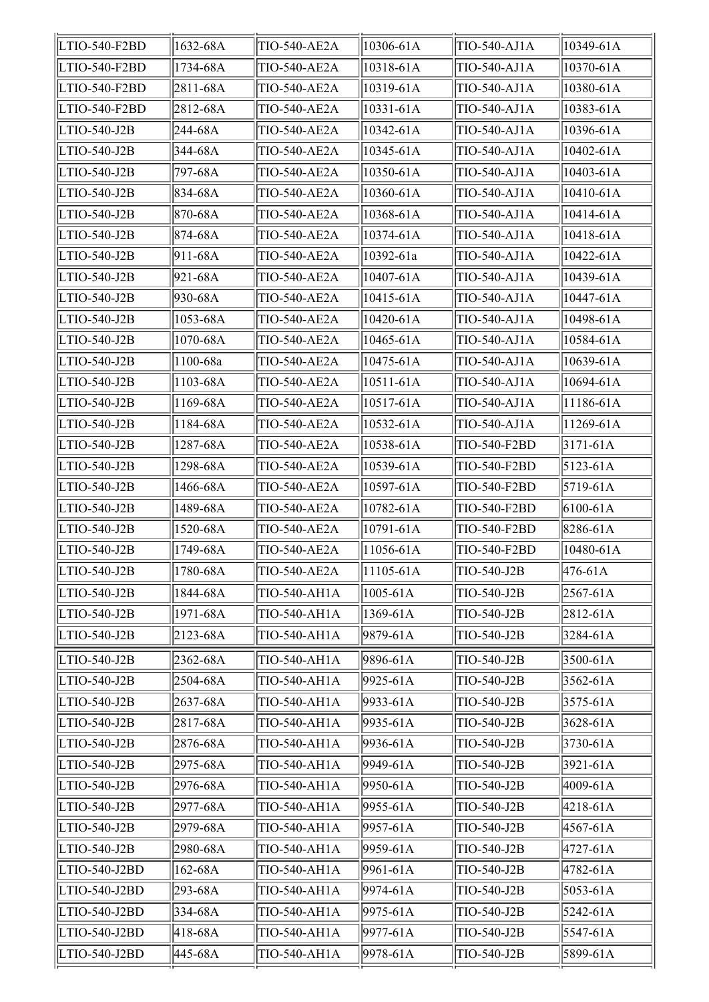| LTIO-540-F2BD | 1632-68A       | TIO-540-AE2A        | 10306-61A       | TIO-540-AJ1A        | 10349-61A    |
|---------------|----------------|---------------------|-----------------|---------------------|--------------|
| LTIO-540-F2BD | 1734-68A       | TIO-540-AE2A        | 10318-61A       | TIO-540-AJ1A        | 10370-61A    |
| LTIO-540-F2BD | $ 2811 - 68A$  | TIO-540-AE2A        | 10319-61A       | TIO-540-AJ1A        | 10380-61A    |
| LTIO-540-F2BD | 2812-68A       | TIO-540-AE2A        | 10331-61A       | TIO-540-AJ1A        | 10383-61A    |
| LTIO-540-J2B  | 244-68A        | TIO-540-AE2A        | 10342-61A       | TIO-540-AJ1A        | 10396-61A    |
| LTIO-540-J2B  | 344-68A        | TIO-540-AE2A        | 10345-61A       | TIO-540-AJ1A        | 10402-61A    |
| LTIO-540-J2B  | 797-68A        | TIO-540-AE2A        | 10350-61A       | TIO-540-AJ1A        | 10403-61A    |
| LTIO-540-J2B  | 834-68A        | TIO-540-AE2A        | 10360-61A       | TIO-540-AJ1A        | 10410-61A    |
| LTIO-540-J2B  | 870-68A        | <b>TIO-540-AE2A</b> | 10368-61A       | TIO-540-AJ1A        | 10414-61A    |
| LTIO-540-J2B  | 874-68A        | <b>TIO-540-AE2A</b> | 10374-61A       | TIO-540-AJ1A        | 10418-61A    |
| LTIO-540-J2B  | $911-68A$      | <b>TIO-540-AE2A</b> | 10392-61a       | TIO-540-AJ1A        | 10422-61A    |
| LTIO-540-J2B  | 921-68A        | <b>TIO-540-AE2A</b> | 10407-61A       | TIO-540-AJ1A        | 10439-61A    |
| LTIO-540-J2B  | $ 930 - 68A $  | <b>TIO-540-AE2A</b> | 10415-61A       | TIO-540-AJ1A        | 10447-61A    |
| LTIO-540-J2B  | 1053-68A       | <b>TIO-540-AE2A</b> | 10420-61A       | <b>TIO-540-AJ1A</b> | 10498-61A    |
| LTIO-540-J2B  | 1070-68A       | TIO-540-AE2A        | 10465-61A       | TIO-540-AJ1A        | 10584-61A    |
| LTIO-540-J2B  | 1100-68a       | <b>TIO-540-AE2A</b> | $10475 - 61A$   | TIO-540-AJ1A        | 10639-61A    |
| LTIO-540-J2B  | $ 1103 - 68A$  | TIO-540-AE2A        | $ 10511 - 61A $ | TIO-540-AJ1A        | 10694-61A    |
| LTIO-540-J2B  | 1169-68A       | TIO-540-AE2A        | $ 10517 - 61A $ | TIO-540-AJ1A        | 11186-61A    |
| LTIO-540-J2B  | 1184-68A       | TIO-540-AE2A        | 10532-61A       | TIO-540-AJ1A        | 11269-61A    |
| LTIO-540-J2B  | 1287-68A       | TIO-540-AE2A        | 10538-61A       | TIO-540-F2BD        | $3171 - 61A$ |
| LTIO-540-J2B  | 1298-68A       | TIO-540-AE2A        | 10539-61A       | TIO-540-F2BD        | 5123-61A     |
| LTIO-540-J2B  | 1466-68A       | TIO-540-AE2A        | 10597-61A       | TIO-540-F2BD        | 5719-61A     |
| LTIO-540-J2B  | 1489-68A       | TIO-540-AE2A        | 10782-61A       | TIO-540-F2BD        | $6100 - 61A$ |
| LTIO-540-J2B  | 1520-68A       | TIO-540-AE2A        | 10791-61A       | TIO-540-F2BD        | 8286-61A     |
| LTIO-540-J2B  | 1749-68A       | <b>TIO-540-AE2A</b> | 11056-61A       | TIO-540-F2BD        | 10480-61A    |
| LTIO-540-J2B  | $1780 - 68A$   | TIO-540-AE2A        | $ 11105-61A$    | TIO-540-J2B         | 476-61A      |
| LTIO-540-J2B  | 1844-68A       | TIO-540-AH1A        | $ 1005 - 61A $  | TIO-540-J2B         | 2567-61A     |
| LTIO-540-J2B  | 1971-68A       | TIO-540-AH1A        | 1369-61A        | TIO-540-J2B         | 2812-61A     |
| LTIO-540-J2B  | $ 2123 - 68A $ | TIO-540-AH1A        | 9879-61A        | TIO-540-J2B         | 3284-61A     |
| LTIO-540-J2B  | 2362-68A       | TIO-540-AH1A        | 9896-61A        | TIO-540-J2B         | 3500-61A     |
| LTIO-540-J2B  | 2504-68A       | TIO-540-AH1A        | 9925-61A        | TIO-540-J2B         | 3562-61A     |
| LTIO-540-J2B  | 2637-68A       | TIO-540-AH1A        | 9933-61A        | TIO-540-J2B         | 3575-61A     |
| LTIO-540-J2B  | 2817-68A       | TIO-540-AH1A        | 9935-61A        | TIO-540-J2B         | 3628-61A     |
| LTIO-540-J2B  | 2876-68A       | TIO-540-AH1A        | 9936-61A        | TIO-540-J2B         | 3730-61A     |
| LTIO-540-J2B  | 2975-68A       | TIO-540-AH1A        | 9949-61A        | TIO-540-J2B         | 3921-61A     |
| LTIO-540-J2B  | 2976-68A       | TIO-540-AH1A        | 9950-61A        | TIO-540-J2B         | 4009-61A     |
| LTIO-540-J2B  | $ 2977-68A $   | TIO-540-AH1A        | 9955-61A        | TIO-540-J2B         | 4218-61A     |
| LTIO-540-J2B  | 2979-68A       | TIO-540-AH1A        | 9957-61A        | TIO-540-J2B         | 4567-61A     |
| LTIO-540-J2B  | 2980-68A       | TIO-540-AH1A        | 9959-61A        | TIO-540-J2B         | 4727-61A     |
| LTIO-540-J2BD | 162-68A        | TIO-540-AH1A        | 9961-61A        | TIO-540-J2B         | 4782-61A     |
| LTIO-540-J2BD | 293-68A        | TIO-540-AH1A        | 9974-61A        | TIO-540-J2B         | 5053-61A     |
| LTIO-540-J2BD | 334-68A        | TIO-540-AH1A        | 9975-61A        | TIO-540-J2B         | 5242-61A     |
| LTIO-540-J2BD | 418-68A        | TIO-540-AH1A        | 9977-61A        | TIO-540-J2B         | 5547-61A     |
| LTIO-540-J2BD | $ 445 - 68A $  | TIO-540-AH1A        | 9978-61A        | TIO-540-J2B         | 5899-61A     |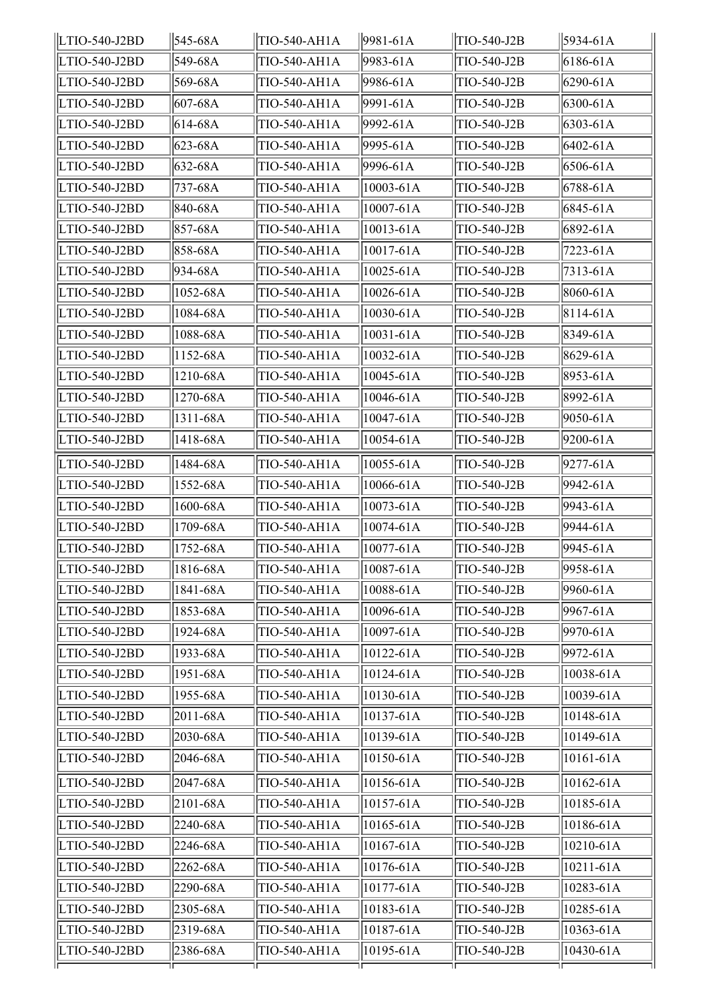| LTIO-540-J2BD | 545-68A        | TIO-540-AH1A        | $  9981 - 61A$  | TIO-540-J2B | 5934-61A  |
|---------------|----------------|---------------------|-----------------|-------------|-----------|
| LTIO-540-J2BD | 549-68A        | TIO-540-AH1A        | 9983-61A        | TIO-540-J2B | 6186-61A  |
| LTIO-540-J2BD | 569-68A        | TIO-540-AH1A        | 9986-61A        | TIO-540-J2B | 6290-61A  |
| LTIO-540-J2BD | 607-68A        | TIO-540-AH1A        | 9991-61A        | TIO-540-J2B | 6300-61A  |
| LTIO-540-J2BD | 614-68A        | TIO-540-AH1A        | 9992-61A        | TIO-540-J2B | 6303-61A  |
| LTIO-540-J2BD | 623-68A        | TIO-540-AH1A        | 9995-61A        | TIO-540-J2B | 6402-61A  |
| LTIO-540-J2BD | 632-68A        | TIO-540-AH1A        | 9996-61A        | TIO-540-J2B | 6506-61A  |
| LTIO-540-J2BD | 737-68A        | TIO-540-AH1A        | $ 10003 - 61A $ | TIO-540-J2B | 6788-61A  |
| LTIO-540-J2BD | 840-68A        | TIO-540-AH1A        | $ 10007 - 61A $ | TIO-540-J2B | 6845-61A  |
| LTIO-540-J2BD | 857-68A        | TIO-540-AH1A        | $ 10013 - 61A $ | TIO-540-J2B | 6892-61A  |
| LTIO-540-J2BD | 858-68A        | TIO-540-AH1A        | $ 10017 - 61A $ | TIO-540-J2B | 7223-61A  |
| LTIO-540-J2BD | 934-68A        | TIO-540-AH1A        | 10025-61A       | TIO-540-J2B | 7313-61A  |
| LTIO-540-J2BD | 1052-68A       | TIO-540-AH1A        | $10026 - 61A$   | TIO-540-J2B | 8060-61A  |
| LTIO-540-J2BD | 1084-68A       | TIO-540-AH1A        | $ 10030 - 61A $ | TIO-540-J2B | 8114-61A  |
| LTIO-540-J2BD | 1088-68A       | TIO-540-AH1A        | $ 10031 - 61A $ | TIO-540-J2B | 8349-61A  |
| LTIO-540-J2BD | 1152-68A       | TIO-540-AH1A        | $ 10032 - 61A $ | TIO-540-J2B | 8629-61A  |
| LTIO-540-J2BD | 1210-68A       | TIO-540-AH1A        | $ 10045 - 61A $ | TIO-540-J2B | 8953-61A  |
| LTIO-540-J2BD | 1270-68A       | TIO-540-AH1A        | 10046-61A       | TIO-540-J2B | 8992-61A  |
| LTIO-540-J2BD | 1311-68A       | TIO-540-AH1A        | $ 10047 - 61A $ | TIO-540-J2B | 9050-61A  |
| LTIO-540-J2BD | 1418-68A       | <b>TIO-540-AH1A</b> | 10054-61A       | TIO-540-J2B | 9200-61A  |
| LTIO-540-J2BD | 1484-68A       | TIO-540-AH1A        | 10055-61A       | TIO-540-J2B | 9277-61A  |
| LTIO-540-J2BD | 1552-68A       | TIO-540-AH1A        | 10066-61A       | TIO-540-J2B | 9942-61A  |
| LTIO-540-J2BD | 1600-68A       | TIO-540-AH1A        | $ 10073 - 61A $ | TIO-540-J2B | 9943-61A  |
| LTIO-540-J2BD | 1709-68A       | TIO-540-AH1A        | $10074 - 61A$   | TIO-540-J2B | 9944-61A  |
| LTIO-540-J2BD | 1752-68A       | TIO-540-AH1A        | $ 10077 - 61A $ | TIO-540-J2B | 9945-61A  |
| LTIO-540-J2BD | $ 1816 - 68A $ | TIO-540-AH1A        | 10087-61A       | TIO-540-J2B | 9958-61A  |
| LTIO-540-J2BD | 1841-68A       | TIO-540-AH1A        | $ 10088 - 61A$  | TIO-540-J2B | 9960-61A  |
| LTIO-540-J2BD | 1853-68A       | TIO-540-AH1A        | 10096-61A       | TIO-540-J2B | 9967-61A  |
| LTIO-540-J2BD | 1924-68A       | TIO-540-AH1A        | 10097-61A       | TIO-540-J2B | 9970-61A  |
| LTIO-540-J2BD | 1933-68A       | TIO-540-AH1A        | 10122-61A       | TIO-540-J2B | 9972-61A  |
| LTIO-540-J2BD | 1951-68A       | TIO-540-AH1A        | $ 10124 - 61A $ | TIO-540-J2B | 10038-61A |
| LTIO-540-J2BD | 1955-68A       | TIO-540-AH1A        | $ 10130 - 61A $ | TIO-540-J2B | 10039-61A |
| LTIO-540-J2BD | 2011-68A       | TIO-540-AH1A        | $ 10137 - 61A $ | TIO-540-J2B | 10148-61A |
| LTIO-540-J2BD | 2030-68A       | TIO-540-AH1A        | $ 10139 - 61A $ | TIO-540-J2B | 10149-61A |
| LTIO-540-J2BD | 2046-68A       | TIO-540-AH1A        | $ 10150 - 61A $ | TIO-540-J2B | 10161-61A |
| LTIO-540-J2BD | 2047-68A       | TIO-540-AH1A        | $ 10156 - 61A $ | TIO-540-J2B | 10162-61A |
| LTIO-540-J2BD | 2101-68A       | TIO-540-AH1A        | 10157-61A       | TIO-540-J2B | 10185-61A |
| LTIO-540-J2BD | 2240-68A       | TIO-540-AH1A        | $ 10165 - 61A $ | TIO-540-J2B | 10186-61A |
| LTIO-540-J2BD | 2246-68A       | TIO-540-AH1A        | $ 10167-61A$    | TIO-540-J2B | 10210-61A |
| LTIO-540-J2BD | 2262-68A       | TIO-540-AH1A        | $ 10176 - 61A $ | TIO-540-J2B | 10211-61A |
| LTIO-540-J2BD | 2290-68A       | TIO-540-AH1A        | $ 10177 - 61A $ | TIO-540-J2B | 10283-61A |
| LTIO-540-J2BD | 2305-68A       | TIO-540-AH1A        | $ 10183 - 61A $ | TIO-540-J2B | 10285-61A |
| LTIO-540-J2BD | 2319-68A       | TIO-540-AH1A        | $ 10187 - 61A $ | TIO-540-J2B | 10363-61A |
| LTIO-540-J2BD | 2386-68A       | TIO-540-AH1A        | $ 10195 - 61A $ | TIO-540-J2B | 10430-61A |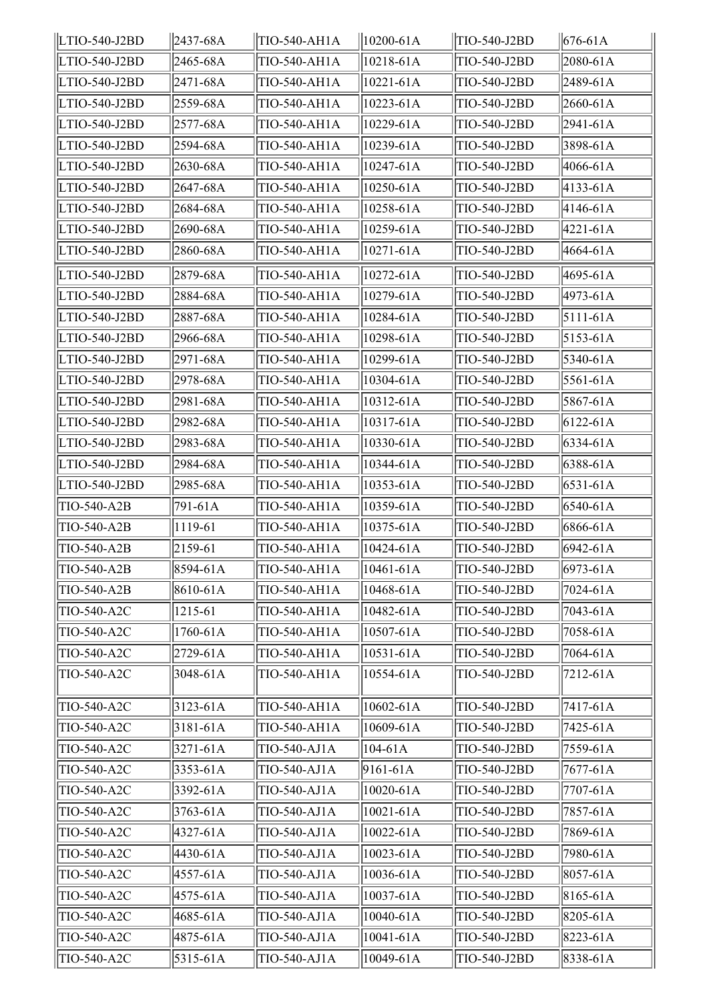| LTIO-540-J2BD | $ 2437 - 68A $ | TIO-540-AH1A | $ 10200 - 61A $ | TIO-540-J2BD | $676 - 61A$    |
|---------------|----------------|--------------|-----------------|--------------|----------------|
| LTIO-540-J2BD | 2465-68A       | TIO-540-AH1A | 10218-61A       | TIO-540-J2BD | 2080-61A       |
| LTIO-540-J2BD | 2471-68A       | TIO-540-AH1A | $10221 - 61A$   | TIO-540-J2BD | 2489-61A       |
| LTIO-540-J2BD | 2559-68A       | TIO-540-AH1A | 10223-61A       | TIO-540-J2BD | 2660-61A       |
| LTIO-540-J2BD | 2577-68A       | TIO-540-AH1A | 10229-61A       | TIO-540-J2BD | 2941-61A       |
| LTIO-540-J2BD | 2594-68A       | TIO-540-AH1A | 10239-61A       | TIO-540-J2BD | 3898-61A       |
| LTIO-540-J2BD | 2630-68A       | TIO-540-AH1A | 10247-61A       | TIO-540-J2BD | 4066-61A       |
| LTIO-540-J2BD | 2647-68A       | TIO-540-AH1A | 10250-61A       | TIO-540-J2BD | $ 4133 - 61A $ |
| LTIO-540-J2BD | 2684-68A       | TIO-540-AH1A | 10258-61A       | TIO-540-J2BD | 4146-61A       |
| LTIO-540-J2BD | 2690-68A       | TIO-540-AH1A | 10259-61A       | TIO-540-J2BD | 4221-61A       |
| LTIO-540-J2BD | 2860-68A       | TIO-540-AH1A | 10271-61A       | TIO-540-J2BD | 4664-61A       |
| LTIO-540-J2BD | 2879-68A       | TIO-540-AH1A | 10272-61A       | TIO-540-J2BD | 4695-61A       |
| LTIO-540-J2BD | 2884-68A       | TIO-540-AH1A | 10279-61A       | TIO-540-J2BD | 4973-61A       |
| LTIO-540-J2BD | 2887-68A       | TIO-540-AH1A | 10284-61A       | TIO-540-J2BD | $5111-61A$     |
| LTIO-540-J2BD | 2966-68A       | TIO-540-AH1A | 10298-61A       | TIO-540-J2BD | $5153 - 61A$   |
| LTIO-540-J2BD | 2971-68A       | TIO-540-AH1A | 10299-61A       | TIO-540-J2BD | 5340-61A       |
| LTIO-540-J2BD | 2978-68A       | TIO-540-AH1A | 10304-61A       | TIO-540-J2BD | 5561-61A       |
| LTIO-540-J2BD | 2981-68A       | TIO-540-AH1A | $10312 - 61A$   | TIO-540-J2BD | 5867-61A       |
| LTIO-540-J2BD | 2982-68A       | TIO-540-AH1A | 10317-61A       | TIO-540-J2BD | $6122 - 61A$   |
| LTIO-540-J2BD | 2983-68A       | TIO-540-AH1A | 10330-61A       | TIO-540-J2BD | 6334-61A       |
| LTIO-540-J2BD | 2984-68A       | TIO-540-AH1A | 10344-61A       | TIO-540-J2BD | 6388-61A       |
| LTIO-540-J2BD | 2985-68A       | TIO-540-AH1A | $ 10353 - 61A $ | TIO-540-J2BD | $6531 - 61A$   |
| TIO-540-A2B   | 791-61A        | TIO-540-AH1A | 10359-61A       | TIO-540-J2BD | 6540-61A       |
| TIO-540-A2B   | 1119-61        | TIO-540-AH1A | 10375-61A       | TIO-540-J2BD | 6866-61A       |
| TIO-540-A2B   | 2159-61        | TIO-540-AH1A | 10424-61A       | TIO-540-J2BD | 6942-61A       |
| TIO-540-A2B   | 8594-61A       | TIO-540-AH1A | 10461-61A       | TIO-540-J2BD | 6973-61A       |
| TIO-540-A2B   | 8610-61A       | TIO-540-AH1A | 10468-61A       | TIO-540-J2BD | 7024-61A       |
| TIO-540-A2C   | 1215-61        | TIO-540-AH1A | 10482-61A       | TIO-540-J2BD | 7043-61A       |
| TIO-540-A2C   | 1760-61A       | TIO-540-AH1A | 10507-61A       | TIO-540-J2BD | 7058-61A       |
| TIO-540-A2C   | 2729-61A       | TIO-540-AH1A | 10531-61A       | TIO-540-J2BD | 7064-61A       |
| TIO-540-A2C   | 3048-61A       | TIO-540-AH1A | 10554-61A       | TIO-540-J2BD | 7212-61A       |
| TIO-540-A2C   | $3123 - 61A$   | TIO-540-AH1A | $10602 - 61A$   | TIO-540-J2BD | 7417-61A       |
| TIO-540-A2C   | $3181 - 61A$   | TIO-540-AH1A | 10609-61A       | TIO-540-J2BD | 7425-61A       |
| TIO-540-A2C   | 3271-61A       | TIO-540-AJ1A | $104 - 61A$     | TIO-540-J2BD | 7559-61A       |
| TIO-540-A2C   | 3353-61A       | TIO-540-AJ1A | $9161 - 61A$    | TIO-540-J2BD | 7677-61A       |
| TIO-540-A2C   | 3392-61A       | TIO-540-AJ1A | 10020-61A       | TIO-540-J2BD | 7707-61A       |
| TIO-540-A2C   | 3763-61A       | TIO-540-AJ1A | 10021-61A       | TIO-540-J2BD | 7857-61A       |
| TIO-540-A2C   | 4327-61A       | TIO-540-AJ1A | 10022-61A       | TIO-540-J2BD | 7869-61A       |
| TIO-540-A2C   | 4430-61A       | TIO-540-AJ1A | 10023-61A       | TIO-540-J2BD | 7980-61A       |
| TIO-540-A2C   | 4557-61A       | TIO-540-AJ1A | 10036-61A       | TIO-540-J2BD | 8057-61A       |
| TIO-540-A2C   | 4575-61A       | TIO-540-AJ1A | 10037-61A       | TIO-540-J2BD | 8165-61A       |
| TIO-540-A2C   | 4685-61A       | TIO-540-AJ1A | 10040-61A       | TIO-540-J2BD | 8205-61A       |
| TIO-540-A2C   | 4875-61A       | TIO-540-AJ1A | $ 10041 - 61A $ | TIO-540-J2BD | $8223 - 61A$   |
| TIO-540-A2C   | 5315-61A       | TIO-540-AJ1A | 10049-61A       | TIO-540-J2BD | 8338-61A       |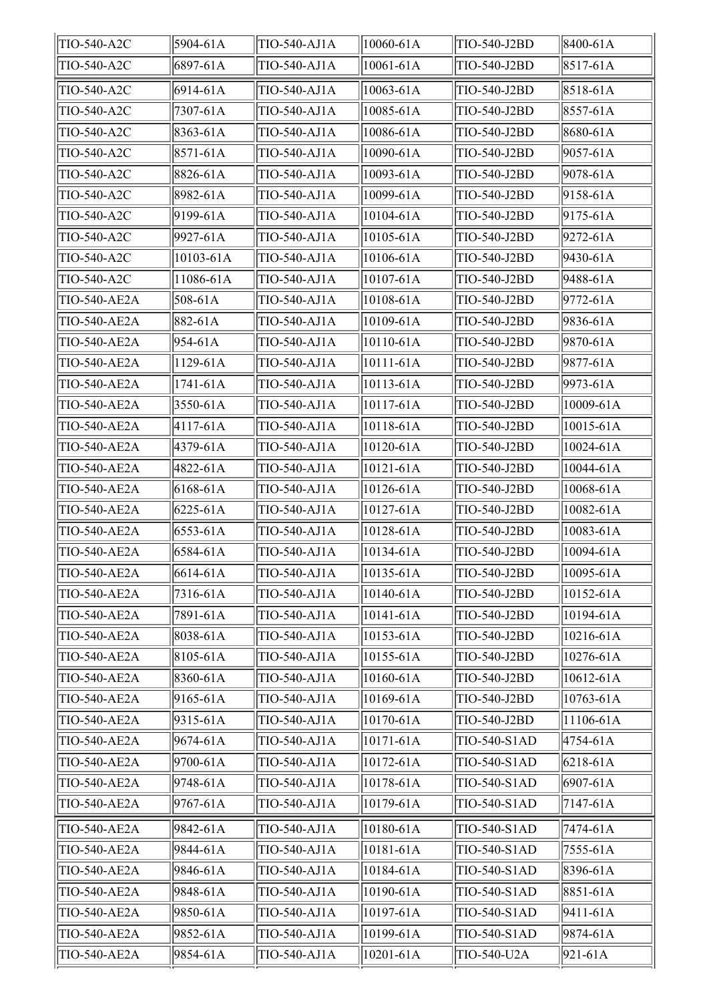| TIO-540-A2C         | 5904-61A       | TIO-540-AJ1A | 10060-61A      | TIO-540-J2BD | 8400-61A     |
|---------------------|----------------|--------------|----------------|--------------|--------------|
| TIO-540-A2C         | 6897-61A       | TIO-540-AJ1A | 10061-61A      | TIO-540-J2BD | $8517 - 61A$ |
| TIO-540-A2C         | 6914-61A       | TIO-540-AJ1A | 10063-61A      | TIO-540-J2BD | 8518-61A     |
| TIO-540-A2C         | 7307-61A       | TIO-540-AJ1A | 10085-61A      | TIO-540-J2BD | 8557-61A     |
| TIO-540-A2C         | 8363-61A       | TIO-540-AJ1A | 10086-61A      | TIO-540-J2BD | 8680-61A     |
| TIO-540-A2C         | $ 8571 - 61A$  | TIO-540-AJ1A | 10090-61A      | TIO-540-J2BD | 9057-61A     |
| TIO-540-A2C         | 8826-61A       | TIO-540-AJ1A | 10093-61A      | TIO-540-J2BD | 9078-61A     |
| TIO-540-A2C         | 8982-61A       | TIO-540-AJ1A | 10099-61A      | TIO-540-J2BD | 9158-61A     |
| TIO-540-A2C         | $9199-61A$     | TIO-540-AJ1A | 10104-61A      | TIO-540-J2BD | $9175 - 61A$ |
| TIO-540-A2C         | $9927 - 61A$   | TIO-540-AJ1A | 10105-61A      | TIO-540-J2BD | 9272-61A     |
| TIO-540-A2C         | 10103-61A      | TIO-540-AJ1A | 10106-61A      | TIO-540-J2BD | 9430-61A     |
| TIO-540-A2C         | 11086-61A      | TIO-540-AJ1A | 10107-61A      | TIO-540-J2BD | 9488-61A     |
| TIO-540-AE2A        | $508 - 61A$    | TIO-540-AJ1A | 10108-61A      | TIO-540-J2BD | 9772-61A     |
| TIO-540-AE2A        | $ 882 - 61A $  | TIO-540-AJ1A | 10109-61A      | TIO-540-J2BD | 9836-61A     |
| TIO-540-AE2A        | $ 954 - 61A $  | TIO-540-AJ1A | 10110-61A      | TIO-540-J2BD | 9870-61A     |
| <b>TIO-540-AE2A</b> | $1129 - 61A$   | TIO-540-AJ1A | 10111-61A      | TIO-540-J2BD | 9877-61A     |
| TIO-540-AE2A        | 1741-61A       | TIO-540-AJ1A | 10113-61A      | TIO-540-J2BD | 9973-61A     |
| TIO-540-AE2A        | $3550 - 61A$   | TIO-540-AJ1A | 10117-61A      | TIO-540-J2BD | 10009-61A    |
| TIO-540-AE2A        | $ 4117 - 61A $ | TIO-540-AJ1A | 10118-61A      | TIO-540-J2BD | 10015-61A    |
| <b>TIO-540-AE2A</b> | 4379-61A       | TIO-540-AJ1A | 10120-61A      | TIO-540-J2BD | 10024-61A    |
| TIO-540-AE2A        | 4822-61A       | TIO-540-AJ1A | 10121-61A      | TIO-540-J2BD | 10044-61A    |
| TIO-540-AE2A        | $6168 - 61A$   | TIO-540-AJ1A | $10126 - 61A$  | TIO-540-J2BD | 10068-61A    |
| TIO-540-AE2A        | $6225 - 61A$   | TIO-540-AJ1A | 10127-61A      | TIO-540-J2BD | 10082-61A    |
| TIO-540-AE2A        | $ 6553 - 61A $ | TIO-540-AJ1A | 10128-61A      | TIO-540-J2BD | 10083-61A    |
| TIO-540-AE2A        | 6584-61A       | TIO-540-AJ1A | 10134-61A      | TIO-540-J2BD | 10094-61A    |
| TIO-540-AE2A        | $6614-61A$     | TIO-540-AJ1A | $ 10135 - 61A$ | TIO-540-J2BD | 10095-61A    |
| TIO-540-AE2A        | 7316-61A       | TIO-540-AJ1A | 10140-61A      | TIO-540-J2BD | 10152-61A    |
| TIO-540-AE2A        | 7891-61A       | TIO-540-AJ1A | 10141-61A      | TIO-540-J2BD | 10194-61A    |
| TIO-540-AE2A        | 8038-61A       | TIO-540-AJ1A | 10153-61A      | TIO-540-J2BD | 10216-61A    |
| TIO-540-AE2A        | $ 8105 - 61A$  | TIO-540-AJ1A | 10155-61A      | TIO-540-J2BD | 10276-61A    |
| TIO-540-AE2A        | $ 8360 - 61A $ | TIO-540-AJ1A | 10160-61A      | TIO-540-J2BD | 10612-61A    |
| TIO-540-AE2A        | $9165 - 61A$   | TIO-540-AJ1A | 10169-61A      | TIO-540-J2BD | 10763-61A    |
| TIO-540-AE2A        | $ 9315 - 61A $ | TIO-540-AJ1A | 10170-61A      | TIO-540-J2BD | 11106-61A    |
| TIO-540-AE2A        | $ 9674 - 61A $ | TIO-540-AJ1A | 10171-61A      | TIO-540-S1AD | 4754-61A     |
| TIO-540-AE2A        | 9700-61A       | TIO-540-AJ1A | 10172-61A      | TIO-540-S1AD | $6218 - 61A$ |
| TIO-540-AE2A        | $ 9748 - 61A $ | TIO-540-AJ1A | 10178-61A      | TIO-540-S1AD | 6907-61A     |
| TIO-540-AE2A        | $9767 - 61A$   | TIO-540-AJ1A | 10179-61A      | TIO-540-S1AD | 7147-61A     |
| TIO-540-AE2A        | $ 9842 - 61A $ | TIO-540-AJ1A | 10180-61A      | TIO-540-S1AD | 7474-61A     |
| TIO-540-AE2A        | $ 9844 - 61A $ | TIO-540-AJ1A | 10181-61A      | TIO-540-S1AD | 7555-61A     |
| TIO-540-AE2A        | 9846-61A       | TIO-540-AJ1A | 10184-61A      | TIO-540-S1AD | 8396-61A     |
| TIO-540-AE2A        | $ 9848 - 61A $ | TIO-540-AJ1A | 10190-61A      | TIO-540-S1AD | 8851-61A     |
| TIO-540-AE2A        | 9850-61A       | TIO-540-AJ1A | 10197-61A      | TIO-540-S1AD | 9411-61A     |
| TIO-540-AE2A        | $ 9852 - 61A $ | TIO-540-AJ1A | 10199-61A      | TIO-540-S1AD | 9874-61A     |
| TIO-540-AE2A        | $ 9854 - 61A $ | TIO-540-AJ1A | 10201-61A      | TIO-540-U2A  | 921-61A      |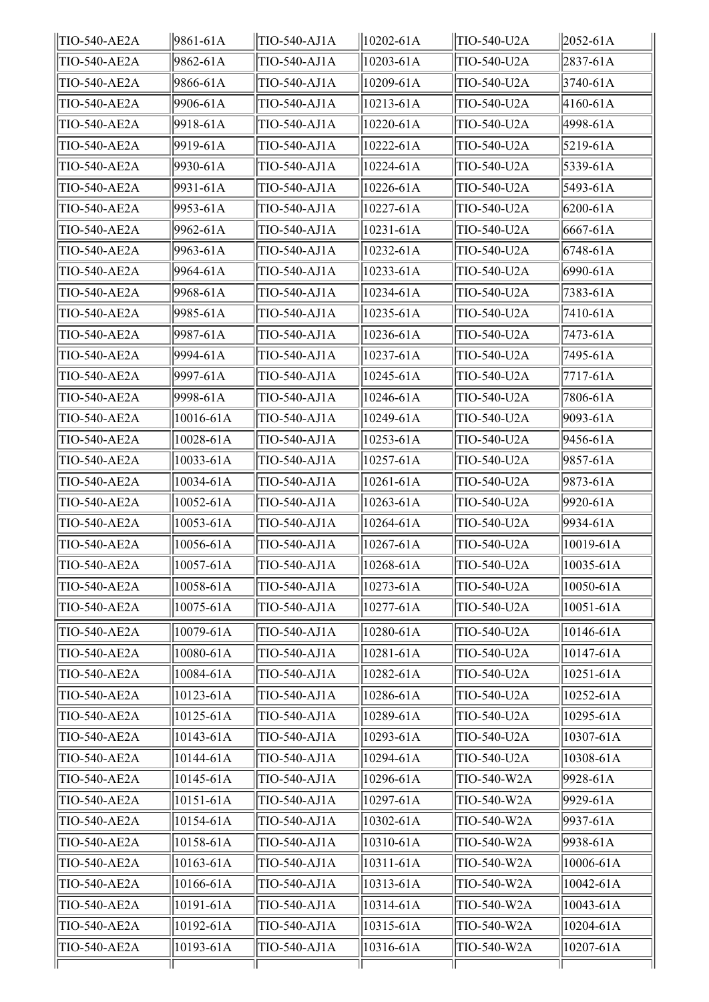| TIO-540-AE2A        | 9861-61A        | TIO-540-AJ1A | $10202 - 61A$   | TIO-540-U2A | $ 2052 - 61A $ |
|---------------------|-----------------|--------------|-----------------|-------------|----------------|
| TIO-540-AE2A        | 9862-61A        | TIO-540-AJ1A | $ 10203 - 61A $ | TIO-540-U2A | $2837 - 61A$   |
| TIO-540-AE2A        | 9866-61A        | TIO-540-AJ1A | 10209-61A       | TIO-540-U2A | $3740 - 61A$   |
| TIO-540-AE2A        | 9906-61A        | TIO-540-AJ1A | 10213-61A       | TIO-540-U2A | 4160-61A       |
| TIO-540-AE2A        | 9918-61A        | TIO-540-AJ1A | 10220-61A       | TIO-540-U2A | 4998-61A       |
| TIO-540-AE2A        | 9919-61A        | TIO-540-AJ1A | 10222-61A       | TIO-540-U2A | 5219-61A       |
| TIO-540-AE2A        | 9930-61A        | TIO-540-AJ1A | 10224-61A       | TIO-540-U2A | 5339-61A       |
| TIO-540-AE2A        | 9931-61A        | TIO-540-AJ1A | 10226-61A       | TIO-540-U2A | 5493-61A       |
| TIO-540-AE2A        | 9953-61A        | TIO-540-AJ1A | 10227-61A       | TIO-540-U2A | $6200 - 61A$   |
| TIO-540-AE2A        | 9962-61A        | TIO-540-AJ1A | $10231 - 61A$   | TIO-540-U2A | $6667 - 61A$   |
| TIO-540-AE2A        | 9963-61A        | TIO-540-AJ1A | 10232-61A       | TIO-540-U2A | $6748 - 61A$   |
| TIO-540-AE2A        | 9964-61A        | TIO-540-AJ1A | $10233 - 61A$   | TIO-540-U2A | 6990-61A       |
| TIO-540-AE2A        | 9968-61A        | TIO-540-AJ1A | 10234-61A       | TIO-540-U2A | 7383-61A       |
| TIO-540-AE2A        | 9985-61A        | TIO-540-AJ1A | 10235-61A       | TIO-540-U2A | 7410-61A       |
| TIO-540-AE2A        | 9987-61A        | TIO-540-AJ1A | 10236-61A       | TIO-540-U2A | 7473-61A       |
| TIO-540-AE2A        | 9994-61A        | TIO-540-AJ1A | 10237-61A       | TIO-540-U2A | 7495-61A       |
| TIO-540-AE2A        | 9997-61A        | TIO-540-AJ1A | 10245-61A       | TIO-540-U2A | 7717-61A       |
| TIO-540-AE2A        | 9998-61A        | TIO-540-AJ1A | 10246-61A       | TIO-540-U2A | 7806-61A       |
| TIO-540-AE2A        | 10016-61A       | TIO-540-AJ1A | 10249-61A       | TIO-540-U2A | 9093-61A       |
| TIO-540-AE2A        | 10028-61A       | TIO-540-AJ1A | 10253-61A       | TIO-540-U2A | 9456-61A       |
| <b>TIO-540-AE2A</b> | 10033-61A       | TIO-540-AJ1A | 10257-61A       | TIO-540-U2A | 9857-61A       |
| TIO-540-AE2A        | 10034-61A       | TIO-540-AJ1A | 10261-61A       | TIO-540-U2A | 9873-61A       |
| TIO-540-AE2A        | 10052-61A       | TIO-540-AJ1A | 10263-61A       | TIO-540-U2A | 9920-61A       |
| TIO-540-AE2A        | 10053-61A       | TIO-540-AJ1A | 10264-61A       | TIO-540-U2A | 9934-61A       |
| TIO-540-AE2A        | 10056-61A       | TIO-540-AJ1A | 10267-61A       | TIO-540-U2A | 10019-61A      |
| TIO-540-AE2A        | $ 10057 - 61A $ | TIO-540-AJ1A | $ 10268 - 61A$  | TIO-540-U2A | $ 10035 - 61A$ |
| TIO-540-AE2A        | 10058-61A       | TIO-540-AJ1A | 10273-61A       | TIO-540-U2A | 10050-61A      |
| TIO-540-AE2A        | 10075-61A       | TIO-540-AJ1A | 10277-61A       | TIO-540-U2A | 10051-61A      |
| TIO-540-AE2A        | 10079-61A       | TIO-540-AJ1A | 10280-61A       | TIO-540-U2A | 10146-61A      |
| TIO-540-AE2A        | 10080-61A       | TIO-540-AJ1A | 10281-61A       | TIO-540-U2A | 10147-61A      |
| TIO-540-AE2A        | 10084-61A       | TIO-540-AJ1A | 10282-61A       | TIO-540-U2A | 10251-61A      |
| TIO-540-AE2A        | 10123-61A       | TIO-540-AJ1A | 10286-61A       | TIO-540-U2A | 10252-61A      |
| TIO-540-AE2A        | 10125-61A       | TIO-540-AJ1A | 10289-61A       | TIO-540-U2A | 10295-61A      |
| TIO-540-AE2A        | 10143-61A       | TIO-540-AJ1A | 10293-61A       | TIO-540-U2A | 10307-61A      |
| TIO-540-AE2A        | 10144-61A       | TIO-540-AJ1A | 10294-61A       | TIO-540-U2A | 10308-61A      |
| TIO-540-AE2A        | 10145-61A       | TIO-540-AJ1A | 10296-61A       | TIO-540-W2A | 9928-61A       |
| TIO-540-AE2A        | 10151-61A       | TIO-540-AJ1A | 10297-61A       | TIO-540-W2A | 9929-61A       |
| TIO-540-AE2A        | 10154-61A       | TIO-540-AJ1A | 10302-61A       | TIO-540-W2A | 9937-61A       |
| TIO-540-AE2A        | 10158-61A       | TIO-540-AJ1A | 10310-61A       | TIO-540-W2A | 9938-61A       |
| TIO-540-AE2A        | 10163-61A       | TIO-540-AJ1A | 10311-61A       | TIO-540-W2A | 10006-61A      |
| TIO-540-AE2A        | 10166-61A       | TIO-540-AJ1A | 10313-61A       | TIO-540-W2A | 10042-61A      |
| TIO-540-AE2A        | 10191-61A       | TIO-540-AJ1A | 10314-61A       | TIO-540-W2A | 10043-61A      |
| TIO-540-AE2A        | 10192-61A       | TIO-540-AJ1A | 10315-61A       | TIO-540-W2A | 10204-61A      |
| TIO-540-AE2A        | 10193-61A       | TIO-540-AJ1A | 10316-61A       | TIO-540-W2A | 10207-61A      |
|                     |                 |              |                 |             |                |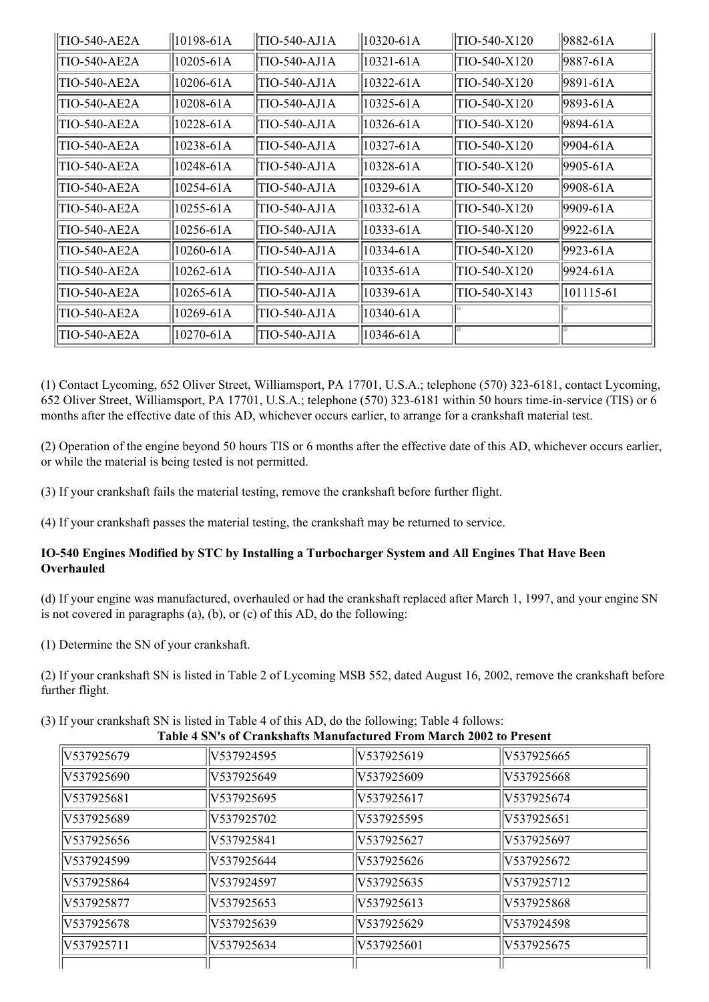| <b>TIO-540-AE2A</b> | 10198-61A     | TIO-540-AJ1A | 10320-61A     | TIO-540-X120 | 9882-61A  |
|---------------------|---------------|--------------|---------------|--------------|-----------|
| TIO-540-AE2A        | 10205-61A     | TIO-540-AJ1A | $10321 - 61A$ | TIO-540-X120 | 9887-61A  |
| TIO-540-AE2A        | $10206 - 61A$ | TIO-540-AJ1A | $10322 - 61A$ | TIO-540-X120 | 9891-61A  |
| TIO-540-AE2A        | 10208-61A     | TIO-540-AJ1A | $10325 - 61A$ | TIO-540-X120 | 9893-61A  |
| TIO-540-AE2A        | $10228 - 61A$ | TIO-540-AJ1A | 10326-61A     | TIO-540-X120 | 9894-61A  |
| TIO-540-AE2A        | 10238-61A     | TIO-540-AJ1A | 10327-61A     | TIO-540-X120 | 9904-61A  |
| TIO-540-AE2A        | 10248-61A     | TIO-540-AJ1A | 10328-61A     | TIO-540-X120 | 9905-61A  |
| TIO-540-AE2A        | $10254 - 61A$ | TIO-540-AJ1A | 10329-61A     | TIO-540-X120 | 9908-61A  |
| TIO-540-AE2A        | $10255 - 61A$ | TIO-540-AJ1A | $10332 - 61A$ | TIO-540-X120 | 9909-61A  |
| TIO-540-AE2A        | 10256-61A     | TIO-540-AJ1A | 10333-61A     | TIO-540-X120 | 9922-61A  |
| TIO-540-AE2A        | 10260-61A     | TIO-540-AJ1A | 10334-61A     | TIO-540-X120 | 9923-61A  |
| TIO-540-AE2A        | $10262 - 61A$ | TIO-540-AJ1A | 10335-61A     | TIO-540-X120 | 9924-61A  |
| <b>TIO-540-AE2A</b> | $10265 - 61A$ | TIO-540-AJ1A | 10339-61A     | TIO-540-X143 | 101115-61 |
| TIO-540-AE2A        | $10269 - 61A$ | TIO-540-AJ1A | 10340-61A     |              |           |
| TIO-540-AE2A        | 10270-61A     | TIO-540-AJ1A | 10346-61A     |              |           |

(1) Contact Lycoming, 652 Oliver Street, Williamsport, PA 17701, U.S.A.; telephone (570) 323-6181, contact Lycoming, 652 Oliver Street, Williamsport, PA 17701, U.S.A.; telephone (570) 323-6181 within 50 hours time-in-service (TIS) or  $6$ months after the effective date of this AD, whichever occurs earlier, to arrange for a crankshaft material test.

(2) Operation of the engine beyond 50 hours TIS or 6 months after the effective date of this AD, whichever occurs earlier, or while the material is being tested is not permitted.

(3) If your crankshaft fails the material testing, remove the crankshaft before further flight.

(4) If your crankshaft passes the material testing, the crankshaft may be returned to service.

### **IO540 Engines Modified by STC by Installing a Turbocharger System and All Engines That Have Been Overhauled**

(d) If your engine was manufactured, overhauled or had the crankshaft replaced after March 1, 1997, and your engine SN is not covered in paragraphs (a), (b), or (c) of this AD, do the following:

(1) Determine the SN of your crankshaft.

(2) If your crankshaft SN is listed in Table 2 of Lycoming MSB 552, dated August 16, 2002, remove the crankshaft before further flight.

(3) If your crankshaft SN is listed in Table 4 of this AD, do the following; Table 4 follows:

| Table 4 SN's of Crankshafts Manufactured From March 2002 to Present |            |             |             |  |  |  |
|---------------------------------------------------------------------|------------|-------------|-------------|--|--|--|
| V537925679                                                          | V537924595 | V537925619  | V537925665  |  |  |  |
| IV537925690                                                         | V537925649 | V537925609  | lV537925668 |  |  |  |
| V537925681                                                          | V537925695 | lV537925617 | V537925674  |  |  |  |
| V537925689                                                          | V537925702 | V537925595  | lV537925651 |  |  |  |
| V537925656                                                          | V537925841 | V537925627  | V537925697  |  |  |  |
| V537924599                                                          | V537925644 | V537925626  | V537925672  |  |  |  |
| V537925864                                                          | V537924597 | V537925635  | V537925712  |  |  |  |
| IV537925877                                                         | V537925653 | V537925613  | V537925868  |  |  |  |
| V537925678                                                          | V537925639 | lV537925629 | V537924598  |  |  |  |
| IV537925711                                                         | V537925634 | V537925601  | V537925675  |  |  |  |
|                                                                     |            |             |             |  |  |  |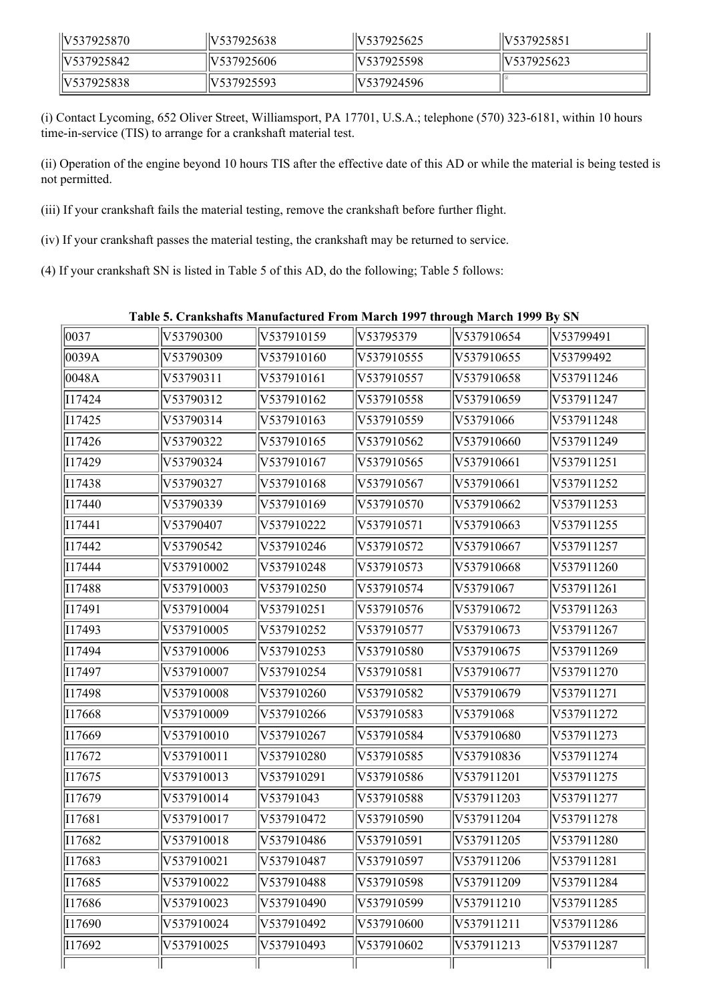| llV537925870 | V537925638   | V537925625               | V537925851  |
|--------------|--------------|--------------------------|-------------|
| IV537925842  | V537925606   | V537925598               | IV537925623 |
| IV537925838  | llV537925593 | $\frac{1}{2}$ NS37924596 |             |

(i) Contact Lycoming, 652 Oliver Street, Williamsport, PA 17701, U.S.A.; telephone (570) 323-6181, within 10 hours time-in-service (TIS) to arrange for a crankshaft material test.

(ii) Operation of the engine beyond 10 hours TIS after the effective date of this AD or while the material is being tested is not permitted.

(iii) If your crankshaft fails the material testing, remove the crankshaft before further flight.

(iv) If your crankshaft passes the material testing, the crankshaft may be returned to service.

(4) If your crankshaft SN is listed in Table 5 of this AD, do the following; Table 5 follows:

| Table 5. Crankshafts Manufactured From March 1997 through March 1999 By SN |  |  |  |  |  |
|----------------------------------------------------------------------------|--|--|--|--|--|
|----------------------------------------------------------------------------|--|--|--|--|--|

| 0037   | V53790300  | V537910159 | V53795379  | V537910654 | V53799491  |
|--------|------------|------------|------------|------------|------------|
| 0039A  | V53790309  | V537910160 | V537910555 | V537910655 | V53799492  |
| 0048A  | V53790311  | V537910161 | V537910557 | V537910658 | V537911246 |
| I17424 | V53790312  | V537910162 | V537910558 | V537910659 | V537911247 |
| I17425 | V53790314  | V537910163 | V537910559 | V53791066  | V537911248 |
| 117426 | V53790322  | V537910165 | V537910562 | V537910660 | V537911249 |
| I17429 | V53790324  | V537910167 | V537910565 | V537910661 | V537911251 |
| I17438 | V53790327  | V537910168 | V537910567 | V537910661 | V537911252 |
| I17440 | V53790339  | V537910169 | V537910570 | V537910662 | V537911253 |
| 117441 | V53790407  | V537910222 | V537910571 | V537910663 | V537911255 |
| 117442 | V53790542  | V537910246 | V537910572 | V537910667 | V537911257 |
| 117444 | V537910002 | V537910248 | V537910573 | V537910668 | V537911260 |
| I17488 | V537910003 | V537910250 | V537910574 | V53791067  | V537911261 |
| 117491 | V537910004 | V537910251 | V537910576 | V537910672 | V537911263 |
| I17493 | V537910005 | V537910252 | V537910577 | V537910673 | V537911267 |
| I17494 | V537910006 | V537910253 | V537910580 | V537910675 | V537911269 |
| I17497 | V537910007 | V537910254 | V537910581 | V537910677 | V537911270 |
| I17498 | V537910008 | V537910260 | V537910582 | V537910679 | V537911271 |
| I17668 | V537910009 | V537910266 | V537910583 | V53791068  | V537911272 |
| I17669 | V537910010 | V537910267 | V537910584 | V537910680 | V537911273 |
| 117672 | V537910011 | V537910280 | V537910585 | V537910836 | V537911274 |
| I17675 | V537910013 | V537910291 | V537910586 | V537911201 | V537911275 |
| I17679 | V537910014 | V53791043  | V537910588 | V537911203 | V537911277 |
| I17681 | V537910017 | V537910472 | V537910590 | V537911204 | V537911278 |
| I17682 | V537910018 | V537910486 | V537910591 | V537911205 | V537911280 |
| 117683 | V537910021 | V537910487 | V537910597 | V537911206 | V537911281 |
| I17685 | V537910022 | V537910488 | V537910598 | V537911209 | V537911284 |
| I17686 | V537910023 | V537910490 | V537910599 | V537911210 | V537911285 |
| I17690 | V537910024 | V537910492 | V537910600 | V537911211 | V537911286 |
| I17692 | V537910025 | V537910493 | V537910602 | V537911213 | V537911287 |
|        |            |            |            |            |            |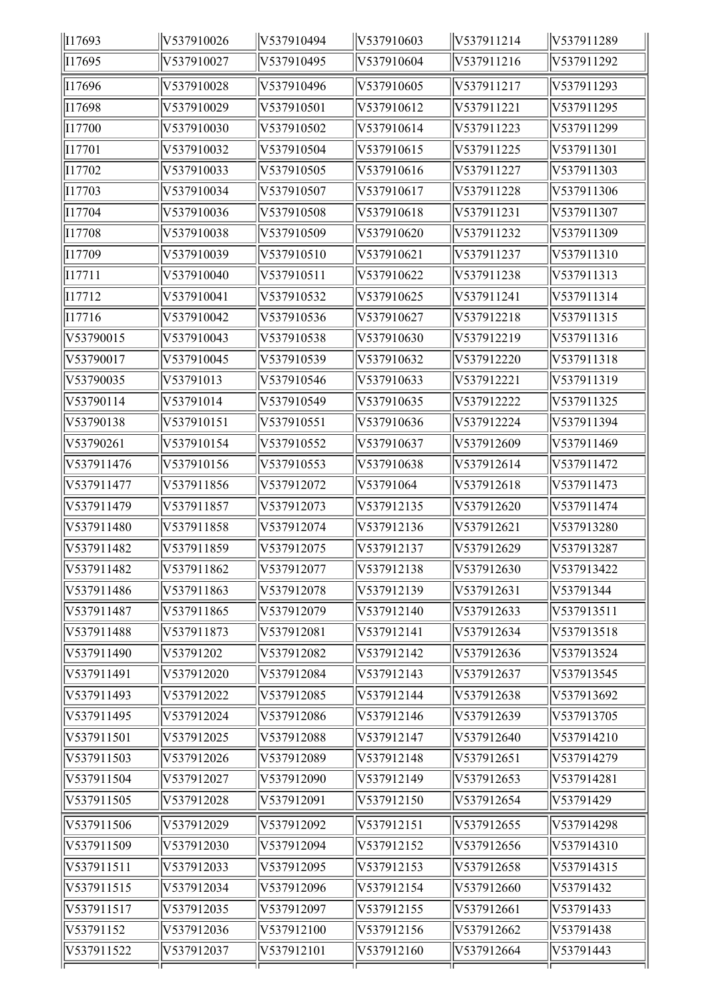| I17693     | V537910026 | V537910494 | V537910603 | V537911214 | V537911289 |
|------------|------------|------------|------------|------------|------------|
| I17695     | V537910027 | V537910495 | V537910604 | V537911216 | V537911292 |
| I17696     | V537910028 | V537910496 | V537910605 | V537911217 | V537911293 |
| I17698     | V537910029 | V537910501 | V537910612 | V537911221 | V537911295 |
| I17700     | V537910030 | V537910502 | V537910614 | V537911223 | V537911299 |
| I17701     | V537910032 | V537910504 | V537910615 | V537911225 | V537911301 |
| I17702     | V537910033 | V537910505 | V537910616 | V537911227 | V537911303 |
| I17703     | V537910034 | V537910507 | V537910617 | V537911228 | V537911306 |
| I17704     | V537910036 | V537910508 | V537910618 | V537911231 | V537911307 |
| I17708     | V537910038 | V537910509 | V537910620 | V537911232 | V537911309 |
| I17709     | V537910039 | V537910510 | V537910621 | V537911237 | V537911310 |
| I17711     | V537910040 | V537910511 | V537910622 | V537911238 | V537911313 |
| I17712     | V537910041 | V537910532 | V537910625 | V537911241 | V537911314 |
| I17716     | V537910042 | V537910536 | V537910627 | V537912218 | V537911315 |
| V53790015  | V537910043 | V537910538 | V537910630 | V537912219 | V537911316 |
| V53790017  | V537910045 | V537910539 | V537910632 | V537912220 | V537911318 |
| V53790035  | V53791013  | V537910546 | V537910633 | V537912221 | V537911319 |
| V53790114  | V53791014  | V537910549 | V537910635 | V537912222 | V537911325 |
| V53790138  | V537910151 | V537910551 | V537910636 | V537912224 | V537911394 |
| V53790261  | V537910154 | V537910552 | V537910637 | V537912609 | V537911469 |
| V537911476 | V537910156 | V537910553 | V537910638 | V537912614 | V537911472 |
| V537911477 | V537911856 | V537912072 | V53791064  | V537912618 | V537911473 |
| V537911479 | V537911857 | V537912073 | V537912135 | V537912620 | V537911474 |
| V537911480 | V537911858 | V537912074 | V537912136 | V537912621 | V537913280 |
| V537911482 | V537911859 | V537912075 | V537912137 | V537912629 | V537913287 |
| V537911482 | V537911862 | V537912077 | V537912138 | V537912630 | V537913422 |
| V537911486 | V537911863 | V537912078 | V537912139 | V537912631 | V53791344  |
| V537911487 | V537911865 | V537912079 | V537912140 | V537912633 | V537913511 |
| V537911488 | V537911873 | V537912081 | V537912141 | V537912634 | V537913518 |
| V537911490 | V53791202  | V537912082 | V537912142 | V537912636 | V537913524 |
| V537911491 | V537912020 | V537912084 | V537912143 | V537912637 | V537913545 |
| V537911493 | V537912022 | V537912085 | V537912144 | V537912638 | V537913692 |
| V537911495 | V537912024 | V537912086 | V537912146 | V537912639 | V537913705 |
| V537911501 | V537912025 | V537912088 | V537912147 | V537912640 | V537914210 |
| V537911503 | V537912026 | V537912089 | V537912148 | V537912651 | V537914279 |
| V537911504 | V537912027 | V537912090 | V537912149 | V537912653 | V537914281 |
| V537911505 | V537912028 | V537912091 | V537912150 | V537912654 | V53791429  |
| V537911506 | V537912029 | V537912092 | V537912151 | V537912655 | V537914298 |
| V537911509 | V537912030 | V537912094 | V537912152 | V537912656 | V537914310 |
| V537911511 | V537912033 | V537912095 | V537912153 | V537912658 | V537914315 |
| V537911515 | V537912034 | V537912096 | V537912154 | V537912660 | V53791432  |
| V537911517 | V537912035 | V537912097 | V537912155 | V537912661 | V53791433  |
| V53791152  | V537912036 | V537912100 | V537912156 | V537912662 | V53791438  |
| V537911522 | V537912037 | V537912101 | V537912160 | V537912664 | V53791443  |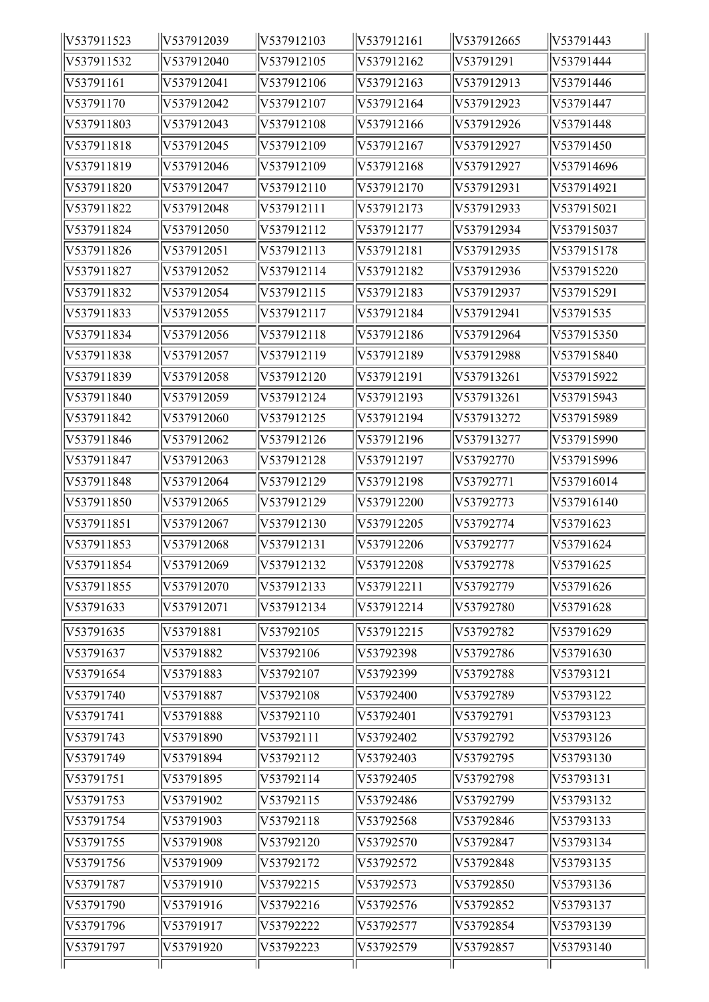| V537911523 | V537912039 | V537912103 | V537912161 | V537912665 | V53791443  |
|------------|------------|------------|------------|------------|------------|
| V537911532 | V537912040 | V537912105 | V537912162 | V53791291  | V53791444  |
| V53791161  | V537912041 | V537912106 | V537912163 | V537912913 | V53791446  |
| V53791170  | V537912042 | V537912107 | V537912164 | V537912923 | V53791447  |
| V537911803 | V537912043 | V537912108 | V537912166 | V537912926 | V53791448  |
| V537911818 | V537912045 | V537912109 | V537912167 | V537912927 | V53791450  |
| V537911819 | V537912046 | V537912109 | V537912168 | V537912927 | V537914696 |
| V537911820 | V537912047 | V537912110 | V537912170 | V537912931 | V537914921 |
| V537911822 | V537912048 | V537912111 | V537912173 | V537912933 | V537915021 |
| V537911824 | V537912050 | V537912112 | V537912177 | V537912934 | V537915037 |
| V537911826 | V537912051 | V537912113 | V537912181 | V537912935 | V537915178 |
| V537911827 | V537912052 | V537912114 | V537912182 | V537912936 | V537915220 |
| V537911832 | V537912054 | V537912115 | V537912183 | V537912937 | V537915291 |
| V537911833 | V537912055 | V537912117 | V537912184 | V537912941 | V53791535  |
| V537911834 | V537912056 | V537912118 | V537912186 | V537912964 | V537915350 |
| V537911838 | V537912057 | V537912119 | V537912189 | V537912988 | V537915840 |
| V537911839 | V537912058 | V537912120 | V537912191 | V537913261 | V537915922 |
| V537911840 | V537912059 | V537912124 | V537912193 | V537913261 | V537915943 |
| V537911842 | V537912060 | V537912125 | V537912194 | V537913272 | V537915989 |
| V537911846 | V537912062 | V537912126 | V537912196 | V537913277 | V537915990 |
| V537911847 | V537912063 | V537912128 | V537912197 | V53792770  | V537915996 |
| V537911848 | V537912064 | V537912129 | V537912198 | V53792771  | V537916014 |
| V537911850 | V537912065 | V537912129 | V537912200 | V53792773  | V537916140 |
| V537911851 | V537912067 | V537912130 | V537912205 | V53792774  | V53791623  |
| V537911853 | V537912068 | V537912131 | V537912206 | V53792777  | V53791624  |
| V537911854 | V537912069 | V537912132 | V537912208 | V53792778  | V53791625  |
| V537911855 | V537912070 | V537912133 | V537912211 | V53792779  | V53791626  |
| V53791633  | V537912071 | V537912134 | V537912214 | V53792780  | V53791628  |
| V53791635  | V53791881  | V53792105  | V537912215 | V53792782  | V53791629  |
| V53791637  | V53791882  | V53792106  | V53792398  | V53792786  | V53791630  |
| V53791654  | V53791883  | V53792107  | V53792399  | V53792788  | V53793121  |
| V53791740  | V53791887  | V53792108  | V53792400  | V53792789  | V53793122  |
| V53791741  | V53791888  | V53792110  | V53792401  | V53792791  | V53793123  |
| V53791743  | V53791890  | V53792111  | V53792402  | V53792792  | V53793126  |
| V53791749  | V53791894  | V53792112  | V53792403  | V53792795  | V53793130  |
| V53791751  | V53791895  | V53792114  | V53792405  | V53792798  | V53793131  |
| V53791753  | V53791902  | V53792115  | V53792486  | V53792799  | V53793132  |
| V53791754  | V53791903  | V53792118  | V53792568  | V53792846  | V53793133  |
| V53791755  | V53791908  | V53792120  | V53792570  | V53792847  | V53793134  |
| V53791756  | V53791909  | V53792172  | V53792572  | V53792848  | V53793135  |
| V53791787  | V53791910  | V53792215  | V53792573  | V53792850  | V53793136  |
| V53791790  | V53791916  | V53792216  | V53792576  | V53792852  | V53793137  |
| V53791796  | V53791917  | V53792222  | V53792577  | V53792854  | V53793139  |
| V53791797  | V53791920  | V53792223  | V53792579  | V53792857  | V53793140  |
|            |            |            |            |            |            |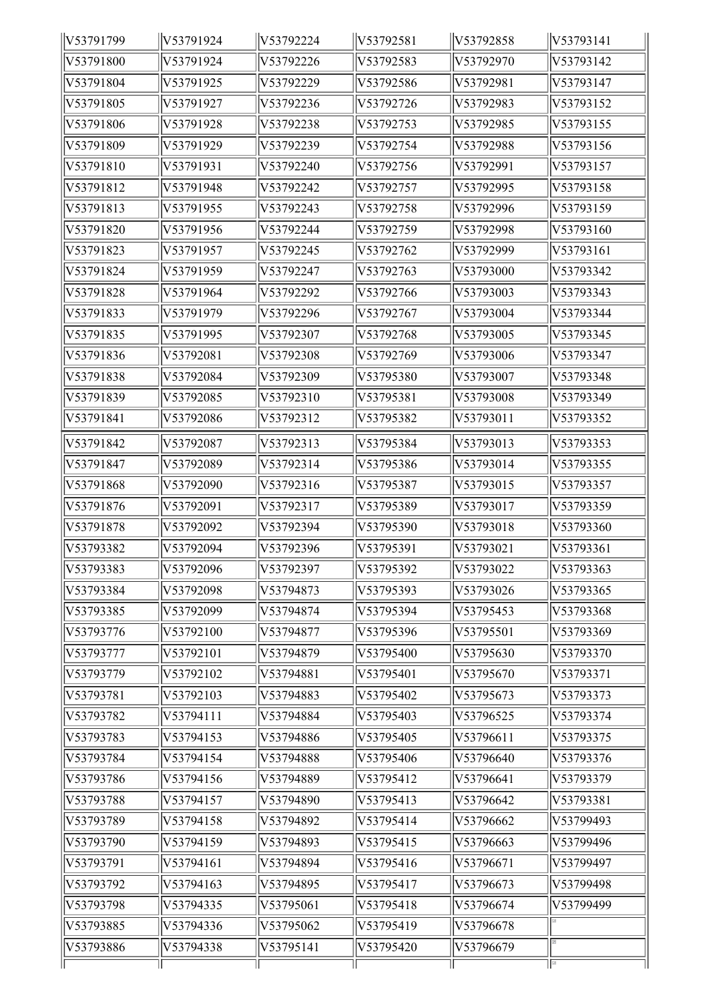| V53791799 | V53791924 | V53792224 | V53792581 | V53792858 | V53793141 |
|-----------|-----------|-----------|-----------|-----------|-----------|
| V53791800 | V53791924 | V53792226 | V53792583 | V53792970 | V53793142 |
| V53791804 | V53791925 | V53792229 | V53792586 | V53792981 | V53793147 |
| V53791805 | V53791927 | V53792236 | V53792726 | V53792983 | V53793152 |
| V53791806 | V53791928 | V53792238 | V53792753 | V53792985 | V53793155 |
| V53791809 | V53791929 | V53792239 | V53792754 | V53792988 | V53793156 |
| V53791810 | V53791931 | V53792240 | V53792756 | V53792991 | V53793157 |
| V53791812 | V53791948 | V53792242 | V53792757 | V53792995 | V53793158 |
| V53791813 | V53791955 | V53792243 | V53792758 | V53792996 | V53793159 |
| V53791820 | V53791956 | V53792244 | V53792759 | V53792998 | V53793160 |
| V53791823 | V53791957 | V53792245 | V53792762 | V53792999 | V53793161 |
| V53791824 | V53791959 | V53792247 | V53792763 | V53793000 | V53793342 |
| V53791828 | V53791964 | V53792292 | V53792766 | V53793003 | V53793343 |
| V53791833 | V53791979 | V53792296 | V53792767 | V53793004 | V53793344 |
| V53791835 | V53791995 | V53792307 | V53792768 | V53793005 | V53793345 |
| V53791836 | V53792081 | V53792308 | V53792769 | V53793006 | V53793347 |
| V53791838 | V53792084 | V53792309 | V53795380 | V53793007 | V53793348 |
| V53791839 | V53792085 | V53792310 | V53795381 | V53793008 | V53793349 |
| V53791841 | V53792086 | V53792312 | V53795382 | V53793011 | V53793352 |
| V53791842 | V53792087 | V53792313 | V53795384 | V53793013 | V53793353 |
| V53791847 | V53792089 | V53792314 | V53795386 | V53793014 | V53793355 |
| V53791868 | V53792090 | V53792316 | V53795387 | V53793015 | V53793357 |
| V53791876 | V53792091 | V53792317 | V53795389 | V53793017 | V53793359 |
| V53791878 | V53792092 | V53792394 | V53795390 | V53793018 | V53793360 |
| V53793382 | V53792094 | V53792396 | V53795391 | V53793021 | V53793361 |
| V53793383 | V53792096 | V53792397 | V53795392 | V53793022 | V53793363 |
| V53793384 | V53792098 | V53794873 | V53795393 | V53793026 | V53793365 |
| V53793385 | V53792099 | V53794874 | V53795394 | V53795453 | V53793368 |
| V53793776 | V53792100 | V53794877 | V53795396 | V53795501 | V53793369 |
| V53793777 | V53792101 | V53794879 | V53795400 | V53795630 | V53793370 |
| V53793779 | V53792102 | V53794881 | V53795401 | V53795670 | V53793371 |
| V53793781 | V53792103 | V53794883 | V53795402 | V53795673 | V53793373 |
| V53793782 | V53794111 | V53794884 | V53795403 | V53796525 | V53793374 |
| V53793783 | V53794153 | V53794886 | V53795405 | V53796611 | V53793375 |
| V53793784 | V53794154 | V53794888 | V53795406 | V53796640 | V53793376 |
| V53793786 | V53794156 | V53794889 | V53795412 | V53796641 | V53793379 |
| V53793788 | V53794157 | V53794890 | V53795413 | V53796642 | V53793381 |
| V53793789 | V53794158 | V53794892 | V53795414 | V53796662 | V53799493 |
| V53793790 | V53794159 | V53794893 | V53795415 | V53796663 | V53799496 |
| V53793791 | V53794161 | V53794894 | V53795416 | V53796671 | V53799497 |
| V53793792 | V53794163 | V53794895 | V53795417 | V53796673 | V53799498 |
| V53793798 | V53794335 | V53795061 | V53795418 | V53796674 | V53799499 |
| V53793885 | V53794336 | V53795062 | V53795419 | V53796678 |           |
| V53793886 | V53794338 | V53795141 | V53795420 | V53796679 |           |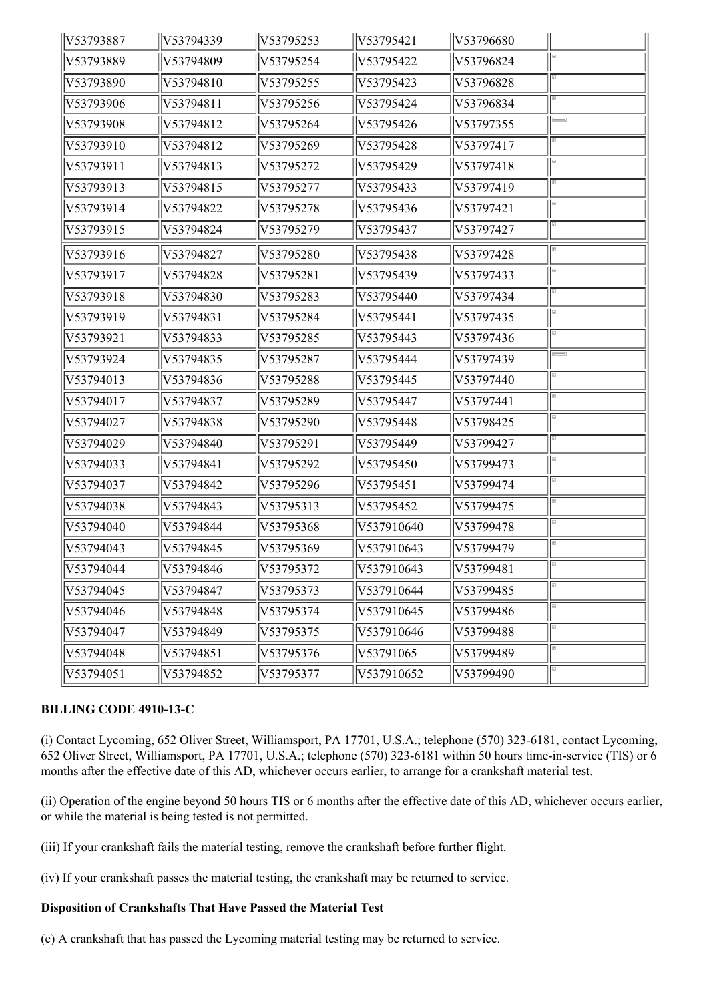| V53793887 | V53794339 | V53795253 | V53795421  | V53796680 |  |
|-----------|-----------|-----------|------------|-----------|--|
| V53793889 | V53794809 | V53795254 | V53795422  | V53796824 |  |
| V53793890 | V53794810 | V53795255 | V53795423  | V53796828 |  |
| V53793906 | V53794811 | V53795256 | V53795424  | V53796834 |  |
| V53793908 | V53794812 | V53795264 | V53795426  | V53797355 |  |
| V53793910 | V53794812 | V53795269 | V53795428  | V53797417 |  |
| V53793911 | V53794813 | V53795272 | V53795429  | V53797418 |  |
| V53793913 | V53794815 | V53795277 | V53795433  | V53797419 |  |
| V53793914 | V53794822 | V53795278 | V53795436  | V53797421 |  |
| V53793915 | V53794824 | V53795279 | V53795437  | V53797427 |  |
| V53793916 | V53794827 | V53795280 | V53795438  | V53797428 |  |
| V53793917 | V53794828 | V53795281 | V53795439  | V53797433 |  |
| V53793918 | V53794830 | V53795283 | V53795440  | V53797434 |  |
| V53793919 | V53794831 | V53795284 | V53795441  | V53797435 |  |
| V53793921 | V53794833 | V53795285 | V53795443  | V53797436 |  |
| V53793924 | V53794835 | V53795287 | V53795444  | V53797439 |  |
| V53794013 | V53794836 | V53795288 | V53795445  | V53797440 |  |
| V53794017 | V53794837 | V53795289 | V53795447  | V53797441 |  |
| V53794027 | V53794838 | V53795290 | V53795448  | V53798425 |  |
| V53794029 | V53794840 | V53795291 | V53795449  | V53799427 |  |
| V53794033 | V53794841 | V53795292 | V53795450  | V53799473 |  |
| V53794037 | V53794842 | V53795296 | V53795451  | V53799474 |  |
| V53794038 | V53794843 | V53795313 | V53795452  | V53799475 |  |
| V53794040 | V53794844 | V53795368 | V537910640 | V53799478 |  |
| V53794043 | V53794845 | V53795369 | V537910643 | V53799479 |  |
| V53794044 | V53794846 | V53795372 | V537910643 | V53799481 |  |
| V53794045 | V53794847 | V53795373 | V537910644 | V53799485 |  |
| V53794046 | V53794848 | V53795374 | V537910645 | V53799486 |  |
| V53794047 | V53794849 | V53795375 | V537910646 | V53799488 |  |
| V53794048 | V53794851 | V53795376 | V53791065  | V53799489 |  |
| V53794051 | V53794852 | V53795377 | V537910652 | V53799490 |  |

# **BILLING CODE 4910-13-C**

(i) Contact Lycoming, 652 Oliver Street, Williamsport, PA 17701, U.S.A.; telephone (570) 323-6181, contact Lycoming, 652 Oliver Street, Williamsport, PA 17701, U.S.A.; telephone (570) 323-6181 within 50 hours time-in-service (TIS) or 6 months after the effective date of this AD, whichever occurs earlier, to arrange for a crankshaft material test.

(ii) Operation of the engine beyond 50 hours TIS or 6 months after the effective date of this AD, whichever occurs earlier, or while the material is being tested is not permitted.

(iii) If your crankshaft fails the material testing, remove the crankshaft before further flight.

(iv) If your crankshaft passes the material testing, the crankshaft may be returned to service.

### **Disposition of Crankshafts That Have Passed the Material Test**

(e) A crankshaft that has passed the Lycoming material testing may be returned to service.